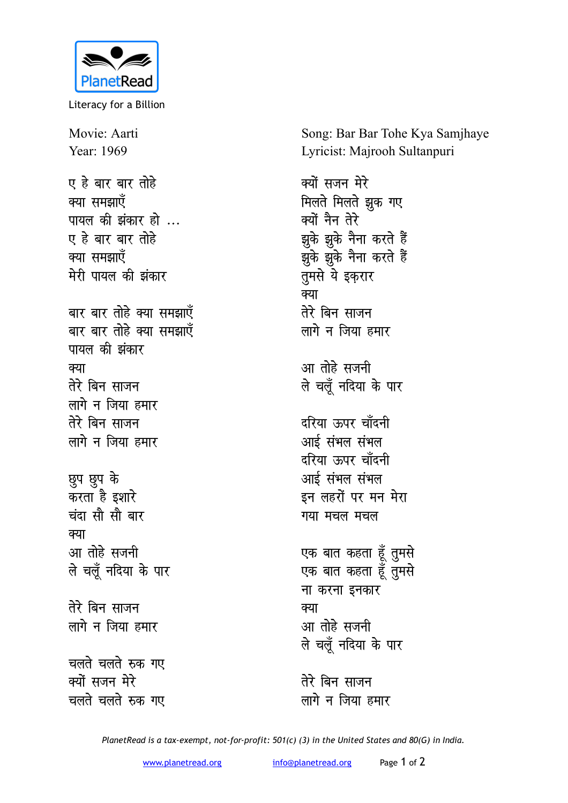

Literacy for a Billion

Movie: Aarti Year: 1969 **ए हे बार बार तोहे** क्या समझाएँ **पायल की झंकार हो ...** ए हे बार बार तो**हे** क्या समझाएँ **मेरी पायल की झंकार** बार बार तोहे क्या समझाएँ बार बार तोहे क्या समझाए<mark>ँ</mark> **पायल की झंकार** <u>क्या</u> **तेरे बिन साजन** लागे न जिया हमार तेरे बिन साजन लागे न जिया **हमा**र **Nqi Nqi d¢** करता है इशार<mark>े</mark> <u>चंदा सौ सौ बार</u> <u>क्या</u> आ तोहे सजनी **ले** चलूँ नदिया के पार तेरे बिन साजन लागे न जिया **हमार** <u>चलते चलते रुक गए</u> क्यों सजन मेरे **चलते चलते रुक गए** 

Song: Bar Bar Tohe Kya Samjhaye Lyricist: Majrooh Sultanpuri

क्यों सजन मेरे **मिलते** मिलते झुक गए क्यों नैन तेरे झुके झुके नैना करते हैं झुके झुके नैना करते हैं तुमसे ये इकरार क्या तेरे बिन साजन लागे न जिया **हमार** आ तोहे सजनी <u>ले चलूँ नदिया के पार</u> दरिया ऊपर चाँ**दनी** आई संभल संभल दरिया ऊपर चाँदनी आई संभल संभल इन लहरों पर मन मेरा गया मचल मचल एक बात कहता हूँ तुमसे

एक बात कहता हूँ तुमसे <u>ना करना इनकार</u> क्या आ तोहे सजनी ले चलूँ नदिया के पार

तेरे बिन साजन लागे न जिया **हमार** 

*PlanetRead is a tax-exempt, not-for-profit: 501(c) (3) in the United States and 80(G) in India.*